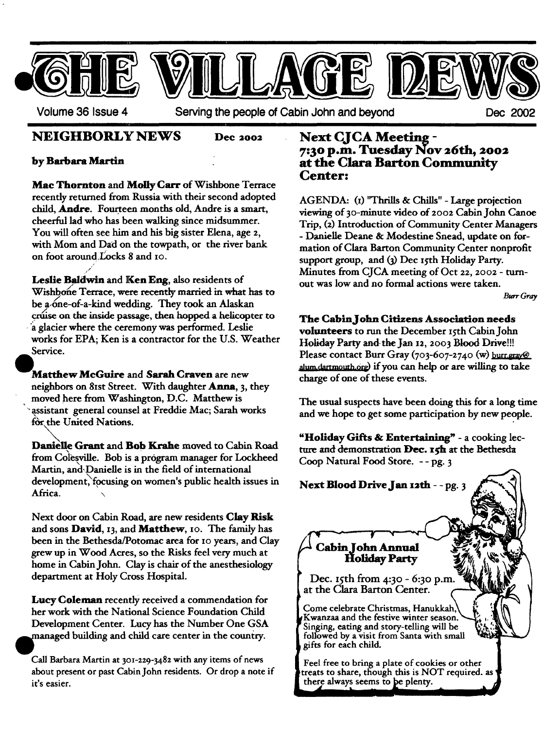

### **NEIGHBORLY NEWS Dee 2002**

#### by Barbara Martin

/ ,//

Mac Thornton and **Molly Cart" of** Wishbone Terrace recently returned from Russia with their second adopted child, **Andre**. Fourteen months old, Andre is a smart, cheerful lad who has been walking since midsummer. You will often see him and his big sister Elena, age 2, with Mom and Dad on the towpath, or the river bank on foot around  $L'ocks 8$  and  $io.$ 

**Leslie** Baldwin and Ken Eng, also residents of Wishbone Terrace, were recently married in what has to be a one-of-a-kind wedding. They took an Alaskan cruise on the inside passage, then hopped a helicopter to a glacier where the ceremony was performed. Leslie works for EPA; Ken is a contractor for the U.S. Weather Service.

**Matthew** MeGuire and Sarah Craven are new neighbors on 8ISt Street. With daughter Anna, 3, they moved here from Washington, D.C. Matthew is "~ .assistant general counsel at Freddie Mac; Sarah works for the United Nations.

Danielle Grant and Bob Krahe moved to Cabin Road from Colesville. Bob is a program manager for Lockheed Martin, and Danielle is in the field of international development, focusing on women's public health issues in Africa. \

Next door on Cabin Road, are new residents Clay **Risk**  and sons David, 13, and Matthew, 10. The family has been in the Bethesda/Potomac area for to years, and Clay grew up in Wood Acres, so the Risks feel very much at home in Cabin John. Clay is chair of the anesthesiology department at Holy Cross Hospital.

Lucy **Coleman** recently received a commendation for her work with the National Science Foundation Child Development Center. Lucy has the Number One GSA **~**  nanaged building and child care center in the country.

Call Barbara Martin at 301-229-3482 with any items of news about present or past Cabin John residents. Or drop a note if it's easier.

# **Next CJCA Meeting - 7:3o p.m. Tuesday Nov 26th, 2oo2 at the Clara Barton Community Center:**

AGENDA: (I) "Thrills & Chills" - Large projection viewing of 30-minute video of 2002 Cabin John Canoe Trip, (2) Introduction of Community Center Managers **-** Danielle Dearie & Modestine Snead, update on formation of Clara Barton Community Center nonprofit support group, and (3) Dec Isth Holiday Party. Minutes from CJCA meeting of Oct 22, 2002 - turnout was low and no formal actions were taken.

Burr Gray

#### **The CablnJohn Citizens Association needs**

**volunteers** to run the December ISth Cabin John Holiday Party and the Jan I2, 2003 Blood Drive!!! Please contact Burr Gray (703-607-2740 (w) burneray@ alum dartmouth org) if you can help or are willing to take charge of one of these events.

The usual suspects have been doing this for a long time and we hope to get some participation by new people.

**"Holiday Gifts** & Entertaining ~ - a cooking lecture and demonstration Dec. 15h at the Bethesda Coop Natural Food Store. - - pg. 3

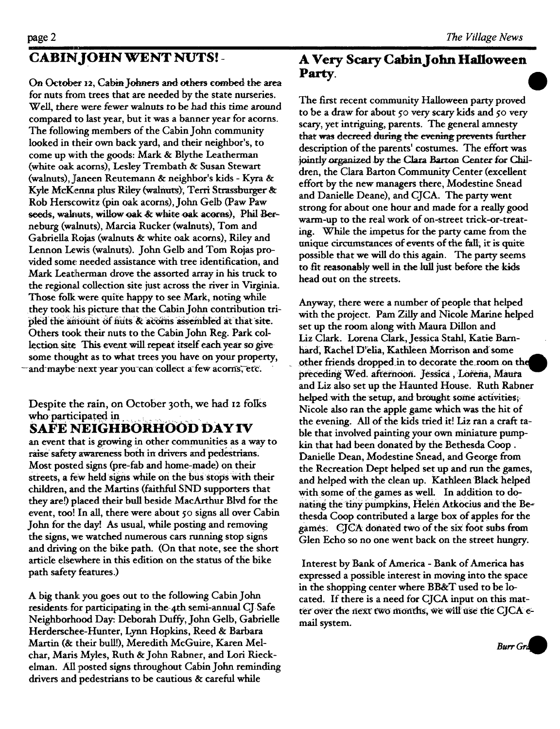## **CABIN JOHN WENT NUTS! -**

On October 12, Cabin Johners and others combed the area for nuts from trees that are needed by the state nurseries. Well, there were fewer walnuts to be had this time around compared to last year, but it was a banner year for acorns. The following members of the Cabin John community looked in their own back yard, and their neighbor's, to come up with the goods: Mark & Blythe Leatherman (white oak acorns), Lesley Trembath & Susan Stewart (walnuts), jlaneen Reutemarm & neighbor's kids - Kyra & Kyle McKenna plus Riley (walnuts), Terri Strassburger & Rob Herscowitz (pin oak acorns), John Gelb (Paw Paw seeds, wakuts, willow oak & white oak acorns), Phil Berneburg (walnuts), Marcia Rucker (walnuts), Tom and Gabriella Rojas (walnuts & white oak acorns), Riley and Lennon Lewis (walnuts). John Gelb and Tom Rojas provided some needed assistance with tree identification, and Mark Leatherman drove the assorted array in his truck to the regiomd collection site just across the river in Virginia. Those folk were quite happy to see Mark, noting while they took his picture that the Cabin John contribution tripled the amount of nuts & acorns assembled at that site. Others took their nuts to the Cabin John Reg. Park collection site This event will repeat itself each year so givesome thought as to what trees you have on your property, and-maybe-next year you-can-collect a-few acorns, etc.

Despite the rain, on October 30th, we had 12 folks who participated in

## **SAFE NEIGHBORHOOD DAYIV**

an event that is growing in other communities as a way to raise safety awareness both in drivers and pedestrians. Most posted signs (pre-fab and home-made) on their streets, a few held signs while on the bus stops with their children, and the Martins (faithful SND supporters that they are!) placed their bull beside MacArthur Blvd for the event, too! In all, there were about 50 signs all over Cabin John for the day! As usual, while posting and removing the signs, we watched numerous cars running stop signs and driving on the bike path. (On that note, see the short article elsewhere in this edition on the status of the bike path safety features.)

A big thank you goes out to the following Cabin John residents for participating in the 4th semi-annual CJ Safe Neighborhood Day: Deborah Duffy, John Gelb, Gabrielle Herderschee-Hunter, Lynn Hopkins, Reed & Barbara Martin (& their bull!), Meredith McGuire, Karen Melchar, Marls Myles, Ruth & John Rabner, and Lori Rieckelman. All posted signs throughout Cabin John reminding drivers and pedestrians to be cautious & careful while

#### **A Very Scary Cabin John Halloween Party.**

The first recent community Halloween party proved to be a draw for about 50 very scary kids and 5o very scary, yet intriguing, parents. The general amnesty that was decreed during the evening prevents further description of the parents' costumes. The effort was jointly organized by the Clara Barton Center for Children, the Clara Barton Community Center (excellent effort by the new managers there, Modestine Snead and Danielle Deane), and CJCA. The party went strong for about one hour and made for a really good warm-up to the real work of on-street trick-or-treating. While the impetus for the party came from the unique circumstances of events of the fail, it is quite possible that we will do this again. The party seems to fit reasonably well in the lull just before the kids head out on the streets.

Anyway, there were a number of people that helped with the project. Pam Zilly and Nicole Marine helped set up the room along with Maura Dillon and Liz Clark. Lorena Clark, Jessica Stahl, Katie Barnhard, Rachel D'elia, Kathleen Morrison and some other friends dropped in to decorate the room on the preceding Wed. afternoon. Jessica, Lorena, Maura and Liz also set up the Haunted House. Ruth Rabner helped with the setup, and brought some activities; Nicole also ran the apple game which was the hit of the evening. All of the kids tried it! Liz ran a craft table that involved painting your own miniature pumpkin that had been donated by the Bethesda Coop. Danielle Dean, Modestine Snead, and George from the Recreation Dept helped set up and run the games, and helped with the clean up. Kathteen Black helped with some of the games as well. In addition to donating the tiny pumpkins, Helen Atkocius and the Bethesda Coop contributed a large box of apples for the games. CJCA donated two of the six foot subs from Glen Echo so no one went back on the street hungry.

Interest by Bank of America - Bank of America has expressed a possible interest in moving into the space in the shopping center where BB&T used to be locared. If there is a need for CJCA input on this matter over the next two months, we will use the CJCA email system.

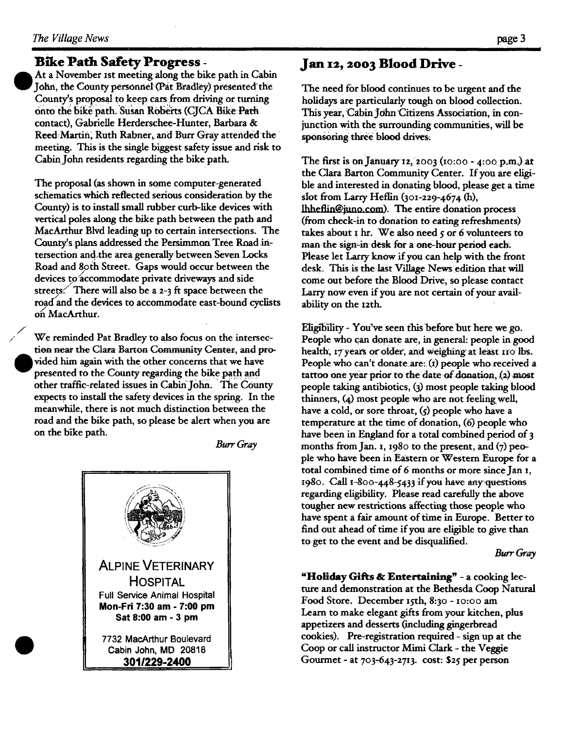**e** 

## **Bike Path Safety Progress-**

At a November 1st meeting along the bike path in Cabin John, the County personnel (Pat Bradley) presented the County's proposal to keep cars from driving or turning onto the bike path. Susan Roberts (CJCA Bike Path contact), Gabrielle Herderschee-Hunter, Barbara & Reed:Martin, Ruth Rabner, and Burr Gray attended the meeting. This is the single biggest safety issue and risk to Cabin John residents regarding the bike path.

The proposal (as shown in some computer-generated schematics which reflected serious consideration by the County) is to install small rubber curb-like devices with vertical poles along the bike path between the path and MacArthur Blvd leading up to certain intersections. The County's plans addressed the Persimmon Tree Road intersection and,the area generally between Seven Locks Road and 8oth Street. Gaps would occur between the devices to accommodate private driveways and side streets. There will also be a 2-3 ft space between the road and the devices to accommodate east-bound cyclists on/MacArthur.

We reminded Pat Bradley to also focus on the intersection near the Clara Barton Community Center., and provided him again with the other concerns that we have presented to the County regarding the bike path and other traffic-related issues in Cabin John. The County expects to install the safety devices in the spring. In the meanwhile, there is not much distinction between the road and the bike path, so please be alert when you are on the bike path.

*Burr Gray* 



## **Jan I2, 2003 Blood Drive -**

The need for blood continues to be urgent and the holidays are particularly tough on blood collection. This year, Cabin John Citizens Association, in conjunction with the surrounding communities, will be sponsoring three blood drives.

The first is on January 12, 2003 (10:00 - 4:00 p.m.) at the Clara Barton Community Center. If you are eligible and interested in donating blood, please get a time slot from Larry Heflin (3Ol-229-4674 (h), lhheflin@juno.com). The entire donation process (from check-in to donation to eating refreshments) takes about  $\mathbf r$  hr. We also need  $\varsigma$  or 6 volunteers to man the sign-in desk for a one-hour period each; Please let Larry know if you can help with the front desk. This is the last Village News edition that will come out before the Blood Drive, so please contact Larry now even if you are not certain of your availability on the I2th.

Eligibility- You've seen this before but here we go. People who can donate are, in general: people in good health, 17 years or oider, and weighing at least 110 lbs. People who can't donate are: (1) people who received a tattoo one year prior to the date of donation, (2) most people taking antibiotics, (3) most people taking blood thinners, (4) most people who are not feelingwell, have a cold, or sore throat,  $\zeta$  people who have a temperature at the time of donation, (6) people who have been in England for a total combined period of 3 months from Jan. I, 1980 to the present, and  $(7)$  people who have been in Eastern or Western Europe for a total combined time of 6 months or more since Jan x, 1980. Call  $1-800-448-5433$  if you have any questions regarding eligibility. Please read carefully the above tougher new restrictions affecting those people who have spent a fair amount of time in Europe. Better to find out ahead of time if you are eligible to give than to get to the event and be disqualified.

*Burr Gray* 

"Holiday Gifts & Entertaining" - a cooking lecture and demonstration at the Bethesda Coop Natural Food Store. December 15th, 8:30 - 10:00 am Learn to make elegant gifts from your kitchen, plus appetizers and desserts (including gingerbread cookies). Pre-registration required - sign up at the Coop or call instructor Mimi Clark - the Veggie Gourmet - at 7o3-643-2713 . cost: \$25 per person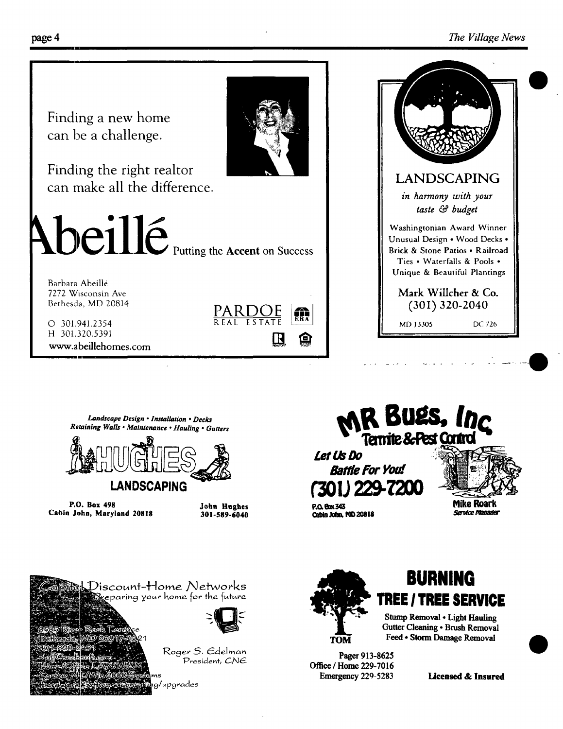

www.abeillehomes.com



Landscape Design . Installation . Decks Retaining Walls . Maintenance . Hauling . Gutters



P.O. Box 498 Cabin John, Maryland 20818

John Hughes 301-589-6040



**Mike Roark** 

 $P.\Omega$  Rox 343 Cabin John, MD 20818 Service Manager



/upgrades

Discount-Home Networks





Stump Removal . Light Hauling Gutter Cleaning . Brush Removal Feed . Storm Damage Removal

Pager 913-8625 Office / Home 229-7016 Emergency 229-5283

**Licensed & Insured**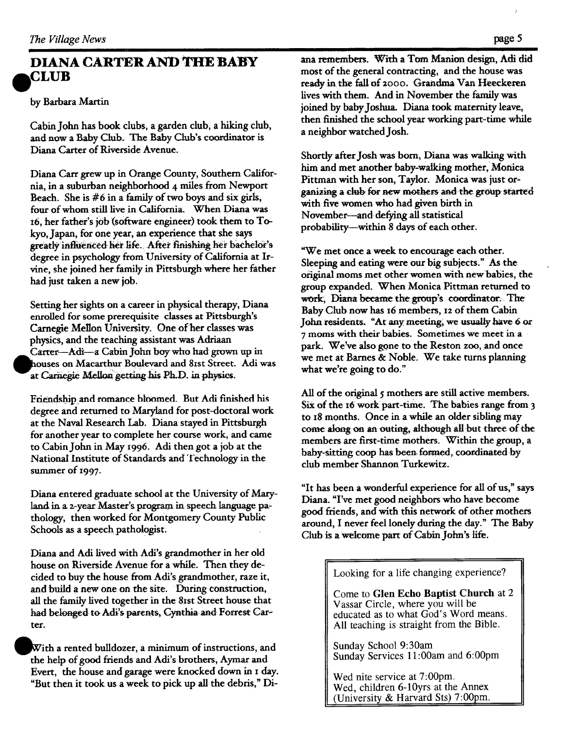## **DIANA CARTER AND :THE BABY CLUB**

#### by Barbara Martin

Cabin John has book clubs, a garden club, a hiking club, and now a Baby Club. The Baby Club's coordinator is Diana Carter of Riverside Avenue.

Diana Cart grew up in Orange County, Southern California, in a suburban neighborhood 4 miles from Newport Beach. She is #6 in a family of two boys and six girls, four of whom still live in California. When Diana was t6, her father's job (software engineer) took them to Tokyo, Japan, for one year, an experience that she says greatly influenced her life. After finishing her bachelor's degree in psychology from University of California at Itvine, she joined her family in Pittsburgh where her father had just taken a new job.

Setting her sights on a career in physical therapy, Diana enrolled for some prerequisite classes at Pittsburgh's Carnegie Mellon University. One of her classes was physics, and the teaching assistant was Adriaan Carter-Adi-a Cabin John boy who had grown up in houses on Macarthur Boulevard and 81st Street. Adi was at Carnegie Mellon getting his Ph.D. in physics.

Friendship and romance bkoomed. But Adi finished his degree and returned to Maryland for post-doctoral work at the Naval Research Lab. Diana stayed in Pittsburgh for another year to complete her course work, and came to Cabin John in May 1996. Adi then got a job at the National Institute of Standards and Technology in the summer of 1997.

Diana entered graduate school at the University of Maryland in a 2-year Master's program in speech language pathology, then worked for Montgomery County Public Schools as a speech pathologist.

Diana and Adi lived with Adi's grandmother in her old house on Riverside Avenue for a while. Then they decided to buy the house from Adi's grandmother, raze it, and build a new one on the site. During construction, all the family lived together in the 81st Street house that had belonged to Adi's parents, Cynthia and Forrest Carter.

With a rented bulldozer, a minimum of instructions, and the help of good friends and Adi's brothers, Aymar and Evert, the house and garage were knocked down in I day. "But then it took us a week to pick up all the debris," Di-

ana remembers. With a Tom Manion design, Adi did most of the general contracting, and the house was ready in the fall of 2000. Grandma Van Heeckeren lives with them. And in November the family was joined by baby Joshua. Diana took maternity leave, then finished the school year working part-time while a neighbor watched Josh.

Shortly after Josh was born, Diana was walking with him and met another baby-walking mother, Monica Pittman with her son, Taylor. Monica was just organizing a club for new mothers and the group started with five women who had given birth in November--and defying all statistical probability--within 8 days of each other.

"We met once a week to encourage each other. Sleeping and eating were our big subjects." As the original morns met other women with newbabies, the group expanded. When Monica Pittman returned to work, Diana became the group's coordinator. The Baby Club now has 16 members, 12 of them Cabin John residents. "At any meeting, we usually have 6 or 7 moms with their babies. Sometimes we meet in a park. We've also gone to the Reston zoo, and once we met at Barnes & Noble. We take turns planning what we're going to do."

All of the original 5 mothers are still active members. Six of the 16 work part-time. The babies range from 3 to 18 months. Once in a while an older sibling may come along on an outing, although all but three of the members are first-time mothers. Within the group, a baby-sitting coop has been. fotaned, coordinated by club member Shannon Turkewitz.

"It has been a wonderful experience for all of us," says Diana. "I've met good neighbors who have become good friends, and with this network of other mothers around, I never feel lonely during the day." The Baby Club is a welcome part of Cabin John's life.

Looking for a life changing experience?

Come to Glen Echo Baptist Church at 2 Vassar Circle, where you will be educated as to what God's Word means. All teaching is straight from the Bible.

Sunday School 9:30am Sunday Services 11:00am and 6:00pm

Wed nite service at 7:00pm. Wed, children 6-10yrs at the Annex (University & Harvard Sts) 7:00pm.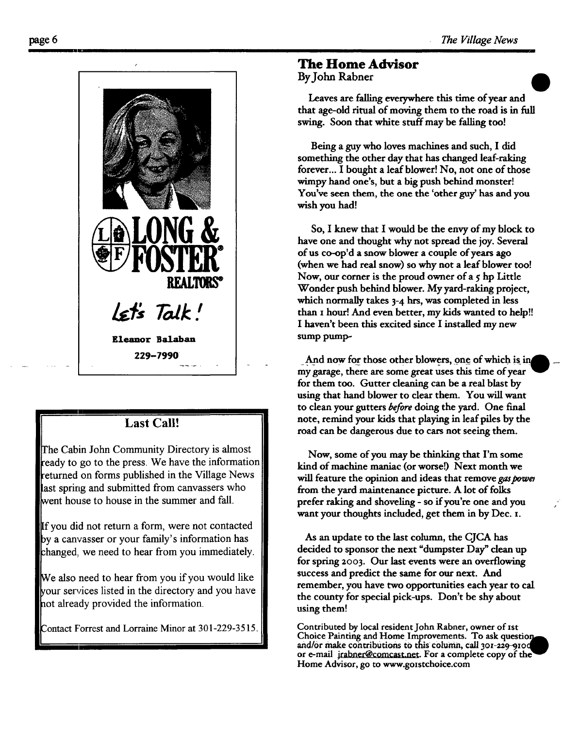

### **Last Call!**

The Cabin John Community Directory is almost ready to go to the press. We have the information returned on forms published in the Village News last spring and submitted from canvassers who went house to house in the summer and fall.

If you did not return a form, were not contacted by a canvasser or your family's information has :hanged, we need to hear from you immediately.

We also need to hear from you if you would like **place is vertex** is the directory and you have not already provided the information.

Contact Forrest and Lorraine Minor at 301-229-3515.

#### **The Home Advisor**

**By John Rabner** 

Leaves are falling everywhere this time of year and that age-old ritual of moving them to the road is in full swing. Soon that white stuff may be falling too!

Being a guy who loves machines and such, I did something the other day that has changed leaf-raking forever... I bought a leaf blower! No, not one of those wimpy hand one's, but a big push behind monster! You've seen them, the one the 'other guy' has and you wish you had!

So, I knew that I would be the envy of my block to have one and thought why not spread the joy. Several of us co-op'd a snow blower a couple of years ago (when we had real snow) so why not a leaf blower too! Now, our corner is the proud owner of  $a \, \varsigma$  hp Little Wonder push behind blower. My yard-raking project, which normally takes 3-4 hrs, was completed in less than I hour! And even better, my kids wanted to help!! I haven't been this excited since I installed my new sump pump-

And now for those other blowers, one of which is in my garage, there are some great uses this time of year for them too. Gutter cleaning can be a real blast by using that hand blower to clear them. You will want to clean your gutters before doing the yard. One final note, remind your kids that playing in leaf piles by the road can be dangerous due to cars not seeing them.

Now, some of you may be thinking that I'm some kind of machine maniac (or worse!) Next month we will feature the opinion and ideas that remove gas power from the yard maintenance picture. A lot of folks prefer raking and shoveling - so if you're one and you want your thoughts included, get them in by Dec. I.

As an update to the last column, the CJCA has decided to sponsor the next "dumpster Day" clean up for spring zoo3. Our last events were an overflowing success and predict the same for our next. And remember, you have two opportunities each year to cat the county for special pick-ups. Don't be shy about using them!

Contributed by local resident John Rabner, owner of ISt Choice Painting and Home Improvements. To ask question and/or make contributions to this column, call 301-229-910d or e-mail jrabner@comcast.net. For a complete copy of the Home Advisor, go to www.golstchoice.com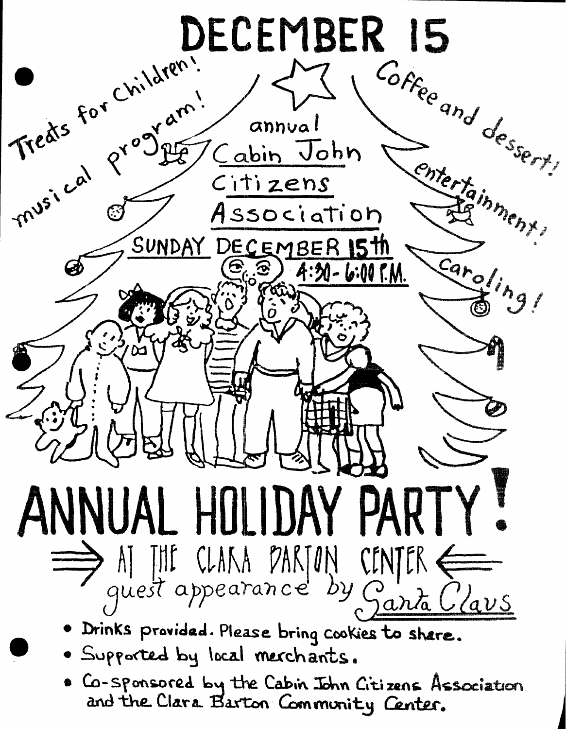

. Co-sponsored by the Cabin John Citizens Association and the Clara Barton Community Center.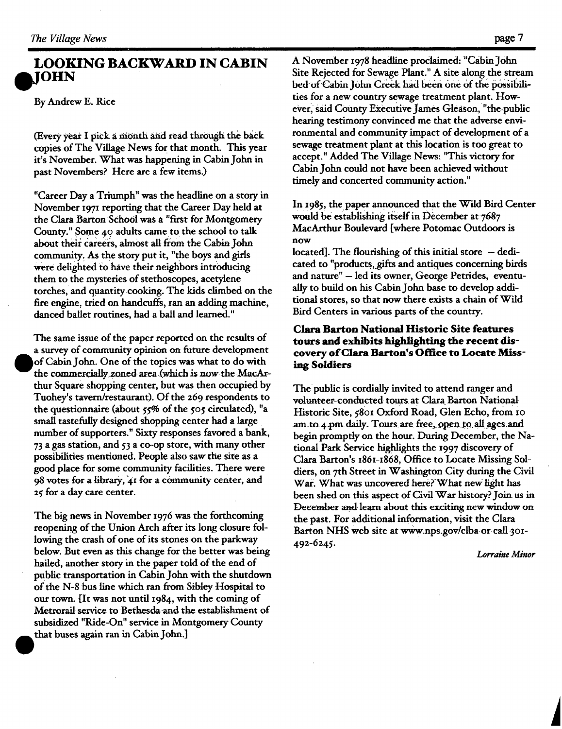#### **LOOKING BACKWARD IN CABIN IOHN**

By Andrew E. Rice

(Every year I pick a month and read through the back copies of The Village News for that month. This year it's November. What was happening in Cabin John in past Novembers? Here are a few items.)

"Career Day a Triumph" was the headline on a story in November 197x reporting that the Career Day held at the Clara Barton School was a "first for Montgomery County." Some 40 adults came to the school to talk about their careers, almost all from the Cabin John community. As the story put it, "the boys and girls were delighted to have their neighbors introducing them to the mysteries of stethoscopes, acetylene torches, and quantitycooking. The kids climbed on the fire engine, tried on handcuffs, ran an adding machine, danced ballet routines, had a ball and learned."

The same issue of the paper reported on the results of a survey of community opinion on future development of Cabin John. One of the topics was what to do with the commercially zoned area (which is now the MacArthur Square shopping center, but was then occupied by Tuohey's tavern/restaurant). Of the 269 respondents to the questionnaire (about 55% of the 505 circulated), "a small tastefully designed shopping center had a large number of supporters." Sixty responses favored a bank, 73 a gas station, and 53 a co-op store, with many other possibilities mentioned. People also saw the site as a good place for some community facilities. There were 98 votes for a library, 41 for a community center, and 25 for a day care center.

The big news in November 1976 was the forthcoming reopening of the Union Arch after its long closure following the crash of one of its stones on the parkway below. But even as this change for the better was being hailed, another story in the paper told of the end of public transportation in Cabin John with the shutdown of the N-8 bus line which ran from Sibley Hospital to our town. [It was not until I984, with the coming of Metrorail-service to Bethesda-and the establishment of subsidized "Ride-On" service in Montgomery County that buses again ran in Cabin John.]

A November 1978 headline proclaimed: "Cabin John Site Rejected for Sewage Plant." A site along the stream bed of Cabin John Creek had been one of the possibilities for a new country sewage treatment plant. However, said County Executive James Gleason, "the public hearing testimony convinced me that the adverse environmental and community impact of development of a sewage treatment plant at this location is too great to accept." Added The Village News: "This victory for Cabin John could not have been achieved without timely and concerted community action."

In 1985, the paper announced that the Wild Bird Center would be establishing itself in December at 7687 MacArthur Boulevard [where Potomac Outdoors is now

located]. The flourishing of this initial store  $-$  dedicated to "products, gifts and antiques concerning birds and nature" - led its owner, George Petrides, eventually to build on his Cabin John base to develop additional stores, so that now there exists a chain of Wild Bird Centers in various parts of the country.

#### Clara Barton National **Historic Site** features **tours and exhibits highlighting the recent discovery of Clara Barton's Office to Locate Misshag Soldiers**

The public is cordially invited to attend ranger and volunteer-conducted tours at Clara Barton National Historic Site, 5801 Oxford Road, Glen Echo, from 10 am to 4 pm daily. Tours are free, open to all ages and begin promptly on the hour. During December, the National Park Service highlights the 1997 discovery of Clara Barton's 1861-1868, Office to Locate Missing Soldiers, on 7th Street in Washington City during the Civil War. What was uncovered here? What new light has been shed on this aspect of Civil War history? Join us in December and learn about this exciting new window on the past. For additional information, visit the Clara Barton NHS web site at www.nps.gov/clba or call 301-492-6245.

*Lorraine Minor*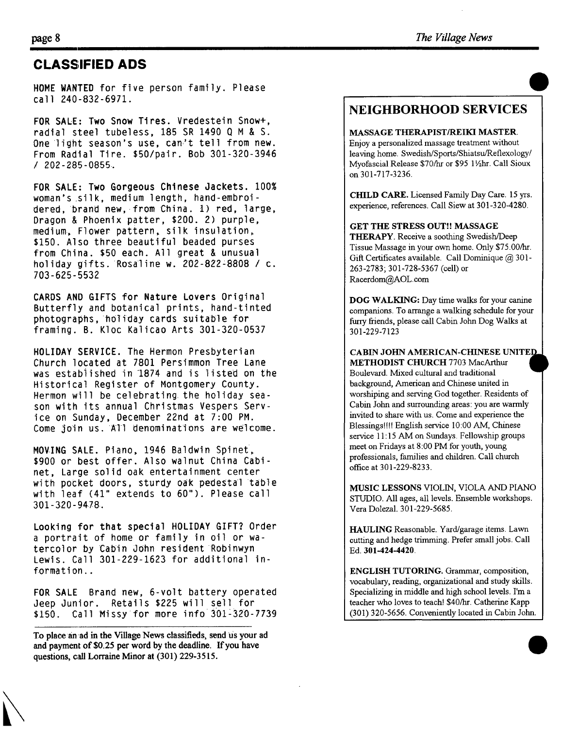#### **CLASSIFIED ADS**

HOME WANTED for five person family. Please call 240-832-6971.

FOR SALE: Two Snow Tires. Vredestein Snow+, radial steel tubeless, 185 SR 1490 Q M & S. One light season's use, can't tell from new. From Radial Tire. \$50/pair. Bob 301-320-3946 / 202-285-0855.

FOR SALE: Two Gorgeous Chinese Jackets. 100% woman's silk, medium length, hand-embroidered, brand new, from China. 1) red, large, Dragon & Phoenix patter, \$200. 2) purple, medium, Flower pattern, silk insulation. \$150. Also three beautiful beaded purses from China. \$50 each. All great & unusual holiday gifts. Rosaline w. 202-822=8808 / c. 703-625-5532

CARDS AND GIFTS for Nature Lovers Original Butterfly and botanical prints, hand-tinted photographs, holiday cards suitable for framing. B. Kloc Kalicao Arts 301-320-0537

HOLIDAY SERVICE. The Hermon Presbyterian Church located at 7801 Persimmon Tree Lane was established in 1874 and is listed on the Historical Register of Montgomery County. Hermon will be celebrating the holiday season with its annual Christmas Vespers Service on Sunday, December 22nd at 7:00 PM. Come join us. All denominations are welcome.

MOVING SALE. Piano, 1946 Baldwin Spinet, \$900 or best offer. Also walnut China Cabinet, Large solid oak entertainment center with pocket doors, sturdy oak pedestal table with leaf (41" extends to 60"). Please call 301-320-9478.

Looking for that special HOLIDAY GIFT? Order a portrait of home or family in oil or watercolor by Cabin John resident Robinwyn Lewis. Call 301-229-1623 for additional information..

FOR SALE Brand new, 6-volt battery operated deep Junior. Retails \$225 will sell for \$150. Call Missy for more info 301-320-7739

To place an ad in the Village News classifieds, send us your ad **and payment of \$0.25 per word by the deadline. If you have questions, call Lorraine Minor at (301) 229-3515.** 

#### **NEIGHBORHOOD SERVICES**

MASSAGE THERAPIST/REIKI MASTER.

Enjoy a personalized massage treatment without leaving home. Swedish/Sports/Shiatsu/Reflexology/ Myofascial Release \$70/hr or \$95 1 ½hr. Call Sioux on 301-717-3236.

CHILD CARE. Licensed Family Day Care. 15 yrs. experience, references. Call Siew at 301-320-4280.

GET THE STRESS OUT!! MASSAGE

THERAPY. Receive a soothing Swedish/Deep Tissue Massage in your own home. Only \$75.00/hr. Gift Certificates available. Call Dominique @ 301-263-2783; 301-728-5367 (cell) or Racerdom@AOL.com

DOG WALKING: Day time walks for your canine companions. To arrange a walking schedule for your furry friends, please call Cabin John Dog Walks at 301-229-7123

CABIN JOHN AMERICAN-CHINESE UNITED. METHODIST CHURCH 7703 MacArthur

Boulevard. Mixed cultural and traditional background, American and Chinese united in worshiping and serving God together. Residents of Cabin John and surrounding areas: you are warmly invited to share with us. Come and experience the Blessings!!!! English service 10:00 AM, Chinese service 11:15 AM on Sundays. Fellowship groups meet on Fridays at 8:00 PM for youth, young professionals, families and children. Call church office at 301-229-8233.

MUSIC LESSONS VIOLIN, VIOLA AND PIANO STUDIO. All ages, all levels. Ensemble workshops. Vera Dolezal. 301-229-5685.

HAULING Reasonable. Yard/garage items. Lawn cutting and hedge trimming. Prefer small jobs. Call Ed. **301-424-4420.** 

ENGLISH TUTORING. Grammar, composition, vocabulary, reading, organizational and study skills. Specializing in middle and high school levels. I'm a teacher who loves to teach! \$40/hr. Catherine Kapp (301) 320-5656. Conveniently located in Cabin John.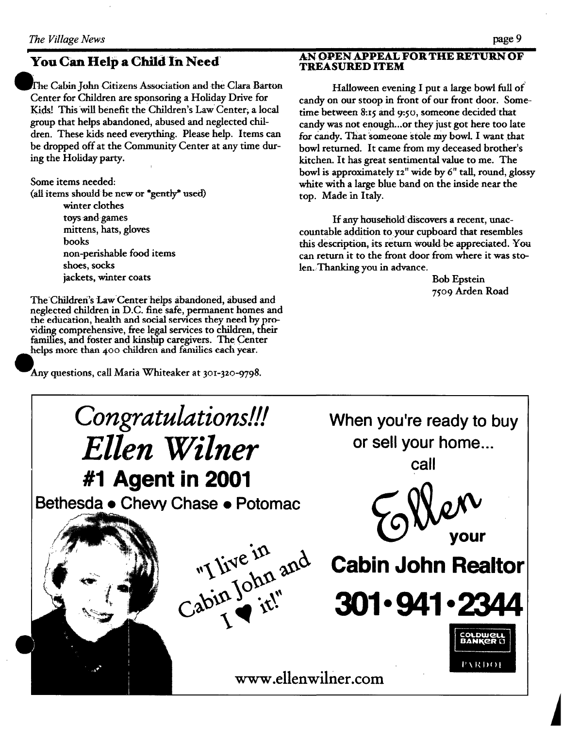The Cabin John Citizens Association and the Clara Barton Center for Children are sponsoring a Holiday Drive for Kids! This will benefit the Children's Law Center; a local group that helps abandoned, abused and neglected children. These kids need everything. Please help. Items can be dropped off at the Community Center at any time during the Holiday party.

Some items needed:

(all items should be new or \*gently\* used) winter clothes toys and games mittens, hats, gloves books non-perishable food items shoes, socks jackets, winter coats

The Children's Law Center helps abandoned, abused and neglected children in D.C. fine safe, permanent homes and the education, health and social services they need by providing comprehensive, free legal services to children, their families, and foster and kinship caregivers. The Center helps more than 400 children and families each year.

Any questions, call Maria Whiteaker at 301-320-9798.

#### I **AN OPEN .APPEAL FOR THE RETURN OF TREASURED ITEM**

Halloween evening I put a large bowl full of candy on our stoop in front of our front door. Sometime between 8:15 and 9:50, someone decided that candy was not enough...or they just got here too late for candy. That someone stole my bowl. I want that bowl returned. It came from my deceased brother's kitchen. It has great sentimental value to me. The bowl is approximately i2" wide by 6" tall, round, glossy white with a large blue band on the inside near the top. Made in Italy.

If any household discovers a recent, unaccountable addition toyour cupboard that resembles this description, its return would be appreciated. You can return it to the front door from where it was stolen, Thanking you in advance.

Bob Epstein 7go9 Arden Road